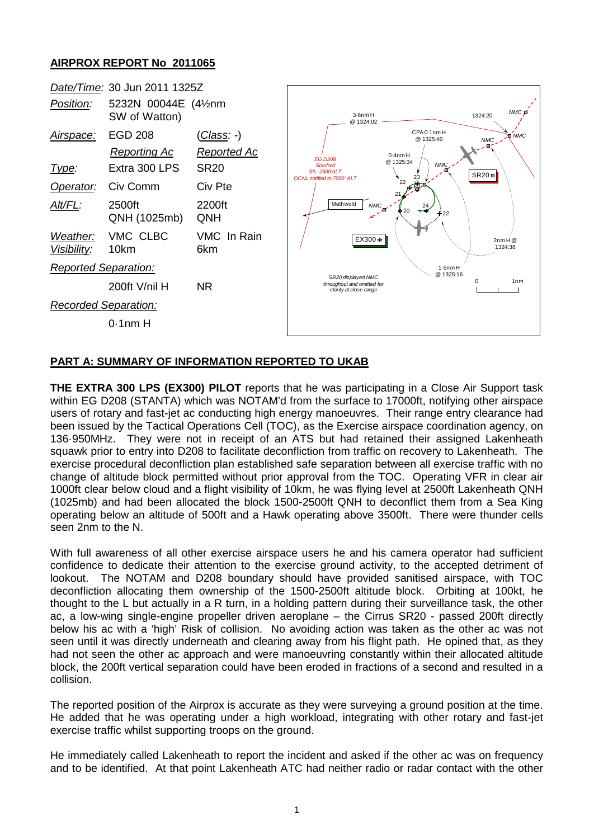## **AIRPROX REPORT No 2011065**



## **PART A: SUMMARY OF INFORMATION REPORTED TO UKAB**

**THE EXTRA 300 LPS (EX300) PILOT** reports that he was participating in a Close Air Support task within EG D208 (STANTA) which was NOTAM'd from the surface to 17000ft, notifying other airspace users of rotary and fast-jet ac conducting high energy manoeuvres. Their range entry clearance had been issued by the Tactical Operations Cell (TOC), as the Exercise airspace coordination agency, on 136·950MHz. They were not in receipt of an ATS but had retained their assigned Lakenheath squawk prior to entry into D208 to facilitate deconfliction from traffic on recovery to Lakenheath. The exercise procedural deconfliction plan established safe separation between all exercise traffic with no change of altitude block permitted without prior approval from the TOC. Operating VFR in clear air 1000ft clear below cloud and a flight visibility of 10km, he was flying level at 2500ft Lakenheath QNH (1025mb) and had been allocated the block 1500-2500ft QNH to deconflict them from a Sea King operating below an altitude of 500ft and a Hawk operating above 3500ft. There were thunder cells seen 2nm to the N.

With full awareness of all other exercise airspace users he and his camera operator had sufficient confidence to dedicate their attention to the exercise ground activity, to the accepted detriment of lookout. The NOTAM and D208 boundary should have provided sanitised airspace, with TOC deconfliction allocating them ownership of the 1500-2500ft altitude block. Orbiting at 100kt, he thought to the L but actually in a R turn, in a holding pattern during their surveillance task, the other ac, a low-wing single-engine propeller driven aeroplane – the Cirrus SR20 - passed 200ft directly below his ac with a 'high' Risk of collision. No avoiding action was taken as the other ac was not seen until it was directly underneath and clearing away from his flight path. He opined that, as they had not seen the other ac approach and were manoeuvring constantly within their allocated altitude block, the 200ft vertical separation could have been eroded in fractions of a second and resulted in a collision.

The reported position of the Airprox is accurate as they were surveying a ground position at the time. He added that he was operating under a high workload, integrating with other rotary and fast-jet exercise traffic whilst supporting troops on the ground.

He immediately called Lakenheath to report the incident and asked if the other ac was on frequency and to be identified. At that point Lakenheath ATC had neither radio or radar contact with the other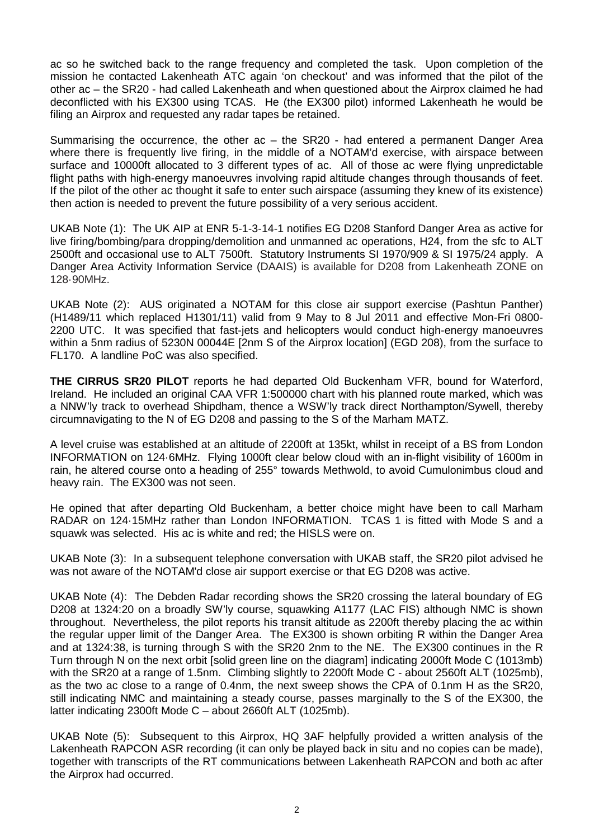ac so he switched back to the range frequency and completed the task. Upon completion of the mission he contacted Lakenheath ATC again 'on checkout' and was informed that the pilot of the other ac – the SR20 - had called Lakenheath and when questioned about the Airprox claimed he had deconflicted with his EX300 using TCAS. He (the EX300 pilot) informed Lakenheath he would be filing an Airprox and requested any radar tapes be retained.

Summarising the occurrence, the other ac – the SR20 - had entered a permanent Danger Area where there is frequently live firing, in the middle of a NOTAM'd exercise, with airspace between surface and 10000ft allocated to 3 different types of ac. All of those ac were flying unpredictable flight paths with high-energy manoeuvres involving rapid altitude changes through thousands of feet. If the pilot of the other ac thought it safe to enter such airspace (assuming they knew of its existence) then action is needed to prevent the future possibility of a very serious accident.

UKAB Note (1): The UK AIP at ENR 5-1-3-14-1 notifies EG D208 Stanford Danger Area as active for live firing/bombing/para dropping/demolition and unmanned ac operations, H24, from the sfc to ALT 2500ft and occasional use to ALT 7500ft. Statutory Instruments SI 1970/909 & SI 1975/24 apply. A Danger Area Activity Information Service (DAAIS) is available for D208 from Lakenheath ZONE on 128·90MHz.

UKAB Note (2): AUS originated a NOTAM for this close air support exercise (Pashtun Panther) (H1489/11 which replaced H1301/11) valid from 9 May to 8 Jul 2011 and effective Mon-Fri 0800- 2200 UTC. It was specified that fast-jets and helicopters would conduct high-energy manoeuvres within a 5nm radius of 5230N 00044E [2nm S of the Airprox location] (EGD 208), from the surface to FL170. A landline PoC was also specified.

**THE CIRRUS SR20 PILOT** reports he had departed Old Buckenham VFR, bound for Waterford, Ireland. He included an original CAA VFR 1:500000 chart with his planned route marked, which was a NNW'ly track to overhead Shipdham, thence a WSW'ly track direct Northampton/Sywell, thereby circumnavigating to the N of EG D208 and passing to the S of the Marham MATZ.

A level cruise was established at an altitude of 2200ft at 135kt, whilst in receipt of a BS from London INFORMATION on 124·6MHz. Flying 1000ft clear below cloud with an in-flight visibility of 1600m in rain, he altered course onto a heading of 255° towards Methwold, to avoid Cumulonimbus cloud and heavy rain. The EX300 was not seen.

He opined that after departing Old Buckenham, a better choice might have been to call Marham RADAR on 124·15MHz rather than London INFORMATION. TCAS 1 is fitted with Mode S and a squawk was selected. His ac is white and red; the HISLS were on.

UKAB Note (3): In a subsequent telephone conversation with UKAB staff, the SR20 pilot advised he was not aware of the NOTAM'd close air support exercise or that EG D208 was active.

UKAB Note (4): The Debden Radar recording shows the SR20 crossing the lateral boundary of EG D208 at 1324:20 on a broadly SW'ly course, squawking A1177 (LAC FIS) although NMC is shown throughout. Nevertheless, the pilot reports his transit altitude as 2200ft thereby placing the ac within the regular upper limit of the Danger Area. The EX300 is shown orbiting R within the Danger Area and at 1324:38, is turning through S with the SR20 2nm to the NE. The EX300 continues in the R Turn through N on the next orbit [solid green line on the diagram] indicating 2000ft Mode C (1013mb) with the SR20 at a range of 1.5nm. Climbing slightly to 2200ft Mode C - about 2560ft ALT (1025mb), as the two ac close to a range of 0.4nm, the next sweep shows the CPA of 0.1nm H as the SR20, still indicating NMC and maintaining a steady course, passes marginally to the S of the EX300, the latter indicating 2300ft Mode C – about 2660ft ALT (1025mb).

UKAB Note (5): Subsequent to this Airprox, HQ 3AF helpfully provided a written analysis of the Lakenheath RAPCON ASR recording (it can only be played back in situ and no copies can be made), together with transcripts of the RT communications between Lakenheath RAPCON and both ac after the Airprox had occurred.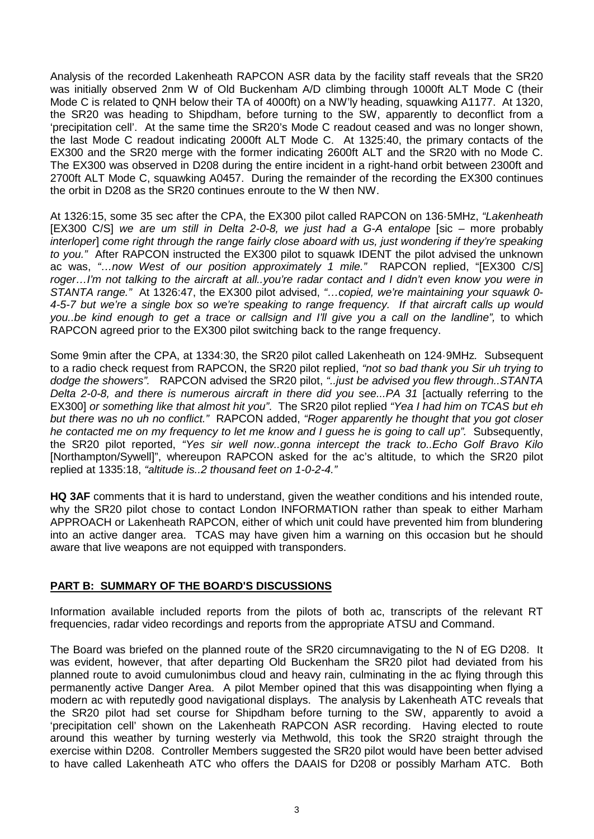Analysis of the recorded Lakenheath RAPCON ASR data by the facility staff reveals that the SR20 was initially observed 2nm W of Old Buckenham A/D climbing through 1000ft ALT Mode C (their Mode C is related to QNH below their TA of 4000ft) on a NW'ly heading, squawking A1177. At 1320, the SR20 was heading to Shipdham, before turning to the SW, apparently to deconflict from a 'precipitation cell'. At the same time the SR20's Mode C readout ceased and was no longer shown, the last Mode C readout indicating 2000ft ALT Mode C. At 1325:40, the primary contacts of the EX300 and the SR20 merge with the former indicating 2600ft ALT and the SR20 with no Mode C. The EX300 was observed in D208 during the entire incident in a right-hand orbit between 2300ft and 2700ft ALT Mode C, squawking A0457. During the remainder of the recording the EX300 continues the orbit in D208 as the SR20 continues enroute to the W then NW.

At 1326:15, some 35 sec after the CPA, the EX300 pilot called RAPCON on 136·5MHz, *"Lakenheath* [EX300 C/S] *we are um still in Delta 2-0-8, we just had a G-A entalope* [sic – more probably *interloper*] *come right through the range fairly close aboard with us, just wondering if they're speaking to you."* After RAPCON instructed the EX300 pilot to squawk IDENT the pilot advised the unknown ac was, *"…now West of our position approximately 1 mile."* RAPCON replied, "[EX300 C/S] *roger…I'm not talking to the aircraft at all..you're radar contact and I didn't even know you were in STANTA range."* At 1326:47, the EX300 pilot advised, *"…copied, we're maintaining your squawk 0- 4-5-7 but we're a single box so we're speaking to range frequency. If that aircraft calls up would you..be kind enough to get a trace or callsign and I'll give you a call on the landline",* to which RAPCON agreed prior to the EX300 pilot switching back to the range frequency.

Some 9min after the CPA, at 1334:30, the SR20 pilot called Lakenheath on 124·9MHz*.* Subsequent to a radio check request from RAPCON, the SR20 pilot replied, *"not so bad thank you Sir uh trying to dodge the showers".* RAPCON advised the SR20 pilot, *"..just be advised you flew through..STANTA Delta 2-0-8, and there is numerous aircraft in there did you see...PA 31* [actually referring to the EX300] *or something like that almost hit you"*. The SR20 pilot replied *"Yea I had him on TCAS but eh but there was no uh no conflict."* RAPCON added, *"Roger apparently he thought that you got closer he contacted me on my frequency to let me know and I guess he is going to call up".* Subsequently, the SR20 pilot reported, *"Yes sir well now..gonna intercept the track to..Echo Golf Bravo Kilo* [Northampton/Sywell]", whereupon RAPCON asked for the ac's altitude, to which the SR20 pilot replied at 1335:18, *"altitude is..2 thousand feet on 1-0-2-4."*

**HQ 3AF** comments that it is hard to understand, given the weather conditions and his intended route, why the SR20 pilot chose to contact London INFORMATION rather than speak to either Marham APPROACH or Lakenheath RAPCON, either of which unit could have prevented him from blundering into an active danger area. TCAS may have given him a warning on this occasion but he should aware that live weapons are not equipped with transponders.

## **PART B: SUMMARY OF THE BOARD'S DISCUSSIONS**

Information available included reports from the pilots of both ac, transcripts of the relevant RT frequencies, radar video recordings and reports from the appropriate ATSU and Command.

The Board was briefed on the planned route of the SR20 circumnavigating to the N of EG D208. It was evident, however, that after departing Old Buckenham the SR20 pilot had deviated from his planned route to avoid cumulonimbus cloud and heavy rain, culminating in the ac flying through this permanently active Danger Area. A pilot Member opined that this was disappointing when flying a modern ac with reputedly good navigational displays. The analysis by Lakenheath ATC reveals that the SR20 pilot had set course for Shipdham before turning to the SW, apparently to avoid a 'precipitation cell' shown on the Lakenheath RAPCON ASR recording. Having elected to route around this weather by turning westerly via Methwold, this took the SR20 straight through the exercise within D208. Controller Members suggested the SR20 pilot would have been better advised to have called Lakenheath ATC who offers the DAAIS for D208 or possibly Marham ATC. Both